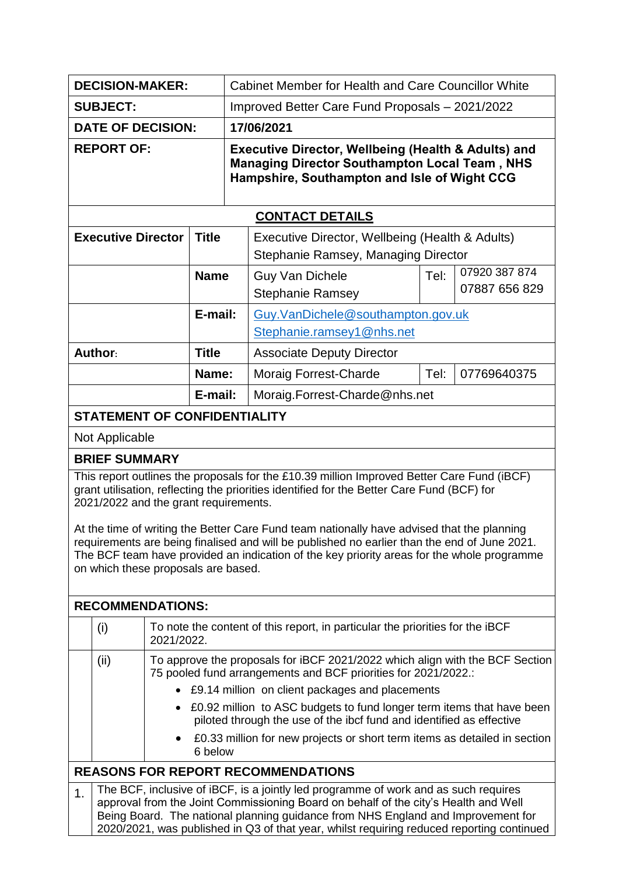| <b>DECISION-MAKER:</b>                                                                                                                                                                                                                                                                                                                                                                                                                                                                                                                                              |                                                                                                                                                                                                                                                                                                                                                                                                                                                    |       |                                                   | <b>Cabinet Member for Health and Care Councillor White</b>                                                                                                             |                                                                                        |             |  |  |  |
|---------------------------------------------------------------------------------------------------------------------------------------------------------------------------------------------------------------------------------------------------------------------------------------------------------------------------------------------------------------------------------------------------------------------------------------------------------------------------------------------------------------------------------------------------------------------|----------------------------------------------------------------------------------------------------------------------------------------------------------------------------------------------------------------------------------------------------------------------------------------------------------------------------------------------------------------------------------------------------------------------------------------------------|-------|---------------------------------------------------|------------------------------------------------------------------------------------------------------------------------------------------------------------------------|----------------------------------------------------------------------------------------|-------------|--|--|--|
| <b>SUBJECT:</b>                                                                                                                                                                                                                                                                                                                                                                                                                                                                                                                                                     |                                                                                                                                                                                                                                                                                                                                                                                                                                                    |       |                                                   | Improved Better Care Fund Proposals - 2021/2022                                                                                                                        |                                                                                        |             |  |  |  |
| <b>DATE OF DECISION:</b>                                                                                                                                                                                                                                                                                                                                                                                                                                                                                                                                            |                                                                                                                                                                                                                                                                                                                                                                                                                                                    |       |                                                   | 17/06/2021                                                                                                                                                             |                                                                                        |             |  |  |  |
| <b>REPORT OF:</b>                                                                                                                                                                                                                                                                                                                                                                                                                                                                                                                                                   |                                                                                                                                                                                                                                                                                                                                                                                                                                                    |       |                                                   | <b>Executive Director, Wellbeing (Health &amp; Adults) and</b><br><b>Managing Director Southampton Local Team, NHS</b><br>Hampshire, Southampton and Isle of Wight CCG |                                                                                        |             |  |  |  |
|                                                                                                                                                                                                                                                                                                                                                                                                                                                                                                                                                                     |                                                                                                                                                                                                                                                                                                                                                                                                                                                    |       |                                                   |                                                                                                                                                                        | <b>CONTACT DETAILS</b>                                                                 |             |  |  |  |
|                                                                                                                                                                                                                                                                                                                                                                                                                                                                                                                                                                     | <b>Executive Director</b>                                                                                                                                                                                                                                                                                                                                                                                                                          |       | <b>Title</b>                                      |                                                                                                                                                                        | Executive Director, Wellbeing (Health & Adults)<br>Stephanie Ramsey, Managing Director |             |  |  |  |
| <b>Name</b>                                                                                                                                                                                                                                                                                                                                                                                                                                                                                                                                                         |                                                                                                                                                                                                                                                                                                                                                                                                                                                    |       | <b>Guy Van Dichele</b><br><b>Stephanie Ramsey</b> | Tel:                                                                                                                                                                   | 07920 387 874<br>07887 656 829                                                         |             |  |  |  |
|                                                                                                                                                                                                                                                                                                                                                                                                                                                                                                                                                                     |                                                                                                                                                                                                                                                                                                                                                                                                                                                    |       | E-mail:                                           |                                                                                                                                                                        | Guy.VanDichele@southampton.gov.uk<br>Stephanie.ramsey1@nhs.net                         |             |  |  |  |
|                                                                                                                                                                                                                                                                                                                                                                                                                                                                                                                                                                     | Author:                                                                                                                                                                                                                                                                                                                                                                                                                                            |       | <b>Title</b>                                      |                                                                                                                                                                        | <b>Associate Deputy Director</b>                                                       |             |  |  |  |
|                                                                                                                                                                                                                                                                                                                                                                                                                                                                                                                                                                     |                                                                                                                                                                                                                                                                                                                                                                                                                                                    | Name: |                                                   | <b>Moraig Forrest-Charde</b>                                                                                                                                           | Tel:                                                                                   | 07769640375 |  |  |  |
|                                                                                                                                                                                                                                                                                                                                                                                                                                                                                                                                                                     |                                                                                                                                                                                                                                                                                                                                                                                                                                                    |       | E-mail:                                           |                                                                                                                                                                        | Moraig.Forrest-Charde@nhs.net                                                          |             |  |  |  |
|                                                                                                                                                                                                                                                                                                                                                                                                                                                                                                                                                                     | <b>STATEMENT OF CONFIDENTIALITY</b>                                                                                                                                                                                                                                                                                                                                                                                                                |       |                                                   |                                                                                                                                                                        |                                                                                        |             |  |  |  |
|                                                                                                                                                                                                                                                                                                                                                                                                                                                                                                                                                                     | Not Applicable                                                                                                                                                                                                                                                                                                                                                                                                                                     |       |                                                   |                                                                                                                                                                        |                                                                                        |             |  |  |  |
|                                                                                                                                                                                                                                                                                                                                                                                                                                                                                                                                                                     | <b>BRIEF SUMMARY</b>                                                                                                                                                                                                                                                                                                                                                                                                                               |       |                                                   |                                                                                                                                                                        |                                                                                        |             |  |  |  |
| This report outlines the proposals for the £10.39 million Improved Better Care Fund (iBCF)<br>grant utilisation, reflecting the priorities identified for the Better Care Fund (BCF) for<br>2021/2022 and the grant requirements.<br>At the time of writing the Better Care Fund team nationally have advised that the planning<br>requirements are being finalised and will be published no earlier than the end of June 2021<br>The BCF team have provided an indication of the key priority areas for the whole programme<br>on which these proposals are based. |                                                                                                                                                                                                                                                                                                                                                                                                                                                    |       |                                                   |                                                                                                                                                                        |                                                                                        |             |  |  |  |
| <b>RECOMMENDATIONS:</b>                                                                                                                                                                                                                                                                                                                                                                                                                                                                                                                                             |                                                                                                                                                                                                                                                                                                                                                                                                                                                    |       |                                                   |                                                                                                                                                                        |                                                                                        |             |  |  |  |
|                                                                                                                                                                                                                                                                                                                                                                                                                                                                                                                                                                     | To note the content of this report, in particular the priorities for the iBCF<br>(i)<br>2021/2022.                                                                                                                                                                                                                                                                                                                                                 |       |                                                   |                                                                                                                                                                        |                                                                                        |             |  |  |  |
|                                                                                                                                                                                                                                                                                                                                                                                                                                                                                                                                                                     | To approve the proposals for iBCF 2021/2022 which align with the BCF Section<br>(ii)<br>75 pooled fund arrangements and BCF priorities for 2021/2022.:<br>£9.14 million on client packages and placements<br>£0.92 million to ASC budgets to fund longer term items that have been<br>piloted through the use of the ibcf fund and identified as effective<br>£0.33 million for new projects or short term items as detailed in section<br>6 below |       |                                                   |                                                                                                                                                                        |                                                                                        |             |  |  |  |
| <b>REASONS FOR REPORT RECOMMENDATIONS</b>                                                                                                                                                                                                                                                                                                                                                                                                                                                                                                                           |                                                                                                                                                                                                                                                                                                                                                                                                                                                    |       |                                                   |                                                                                                                                                                        |                                                                                        |             |  |  |  |
| The BCF, inclusive of iBCF, is a jointly led programme of work and as such requires<br>1 <sub>1</sub><br>approval from the Joint Commissioning Board on behalf of the city's Health and Well<br>Being Board. The national planning guidance from NHS England and Improvement for<br>2020/2021, was published in Q3 of that year, whilst requiring reduced reporting continued                                                                                                                                                                                       |                                                                                                                                                                                                                                                                                                                                                                                                                                                    |       |                                                   |                                                                                                                                                                        |                                                                                        |             |  |  |  |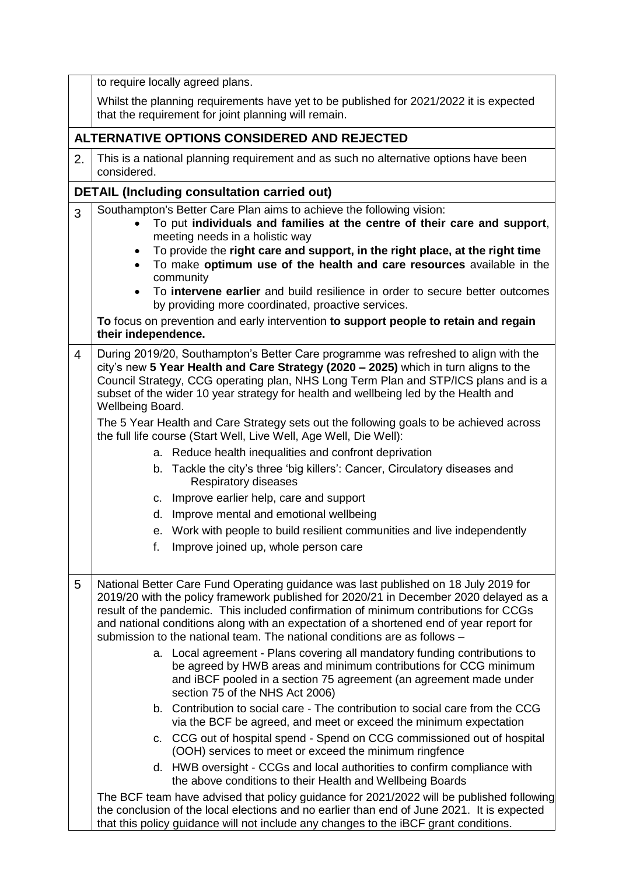|                | to require locally agreed plans.                                                                                                                                                                                                                                                                                                                                                                                                                                                                                                                                                                                                                                                                                                                                                                                                                                                                                                                                                                                                                                                                                                                                                                                                                                                                                                                                                                                               |  |  |  |  |  |  |
|----------------|--------------------------------------------------------------------------------------------------------------------------------------------------------------------------------------------------------------------------------------------------------------------------------------------------------------------------------------------------------------------------------------------------------------------------------------------------------------------------------------------------------------------------------------------------------------------------------------------------------------------------------------------------------------------------------------------------------------------------------------------------------------------------------------------------------------------------------------------------------------------------------------------------------------------------------------------------------------------------------------------------------------------------------------------------------------------------------------------------------------------------------------------------------------------------------------------------------------------------------------------------------------------------------------------------------------------------------------------------------------------------------------------------------------------------------|--|--|--|--|--|--|
|                | Whilst the planning requirements have yet to be published for 2021/2022 it is expected<br>that the requirement for joint planning will remain.                                                                                                                                                                                                                                                                                                                                                                                                                                                                                                                                                                                                                                                                                                                                                                                                                                                                                                                                                                                                                                                                                                                                                                                                                                                                                 |  |  |  |  |  |  |
|                | ALTERNATIVE OPTIONS CONSIDERED AND REJECTED                                                                                                                                                                                                                                                                                                                                                                                                                                                                                                                                                                                                                                                                                                                                                                                                                                                                                                                                                                                                                                                                                                                                                                                                                                                                                                                                                                                    |  |  |  |  |  |  |
| 2.             | This is a national planning requirement and as such no alternative options have been<br>considered.                                                                                                                                                                                                                                                                                                                                                                                                                                                                                                                                                                                                                                                                                                                                                                                                                                                                                                                                                                                                                                                                                                                                                                                                                                                                                                                            |  |  |  |  |  |  |
|                | <b>DETAIL (Including consultation carried out)</b>                                                                                                                                                                                                                                                                                                                                                                                                                                                                                                                                                                                                                                                                                                                                                                                                                                                                                                                                                                                                                                                                                                                                                                                                                                                                                                                                                                             |  |  |  |  |  |  |
| 3              | Southampton's Better Care Plan aims to achieve the following vision:<br>To put individuals and families at the centre of their care and support,<br>meeting needs in a holistic way<br>To provide the right care and support, in the right place, at the right time<br>To make optimum use of the health and care resources available in the<br>community<br>To intervene earlier and build resilience in order to secure better outcomes<br>by providing more coordinated, proactive services.<br>To focus on prevention and early intervention to support people to retain and regain<br>their independence.                                                                                                                                                                                                                                                                                                                                                                                                                                                                                                                                                                                                                                                                                                                                                                                                                 |  |  |  |  |  |  |
| $\overline{4}$ | During 2019/20, Southampton's Better Care programme was refreshed to align with the<br>city's new 5 Year Health and Care Strategy (2020 - 2025) which in turn aligns to the<br>Council Strategy, CCG operating plan, NHS Long Term Plan and STP/ICS plans and is a<br>subset of the wider 10 year strategy for health and wellbeing led by the Health and<br>Wellbeing Board.<br>The 5 Year Health and Care Strategy sets out the following goals to be achieved across<br>the full life course (Start Well, Live Well, Age Well, Die Well):<br>a. Reduce health inequalities and confront deprivation<br>b. Tackle the city's three 'big killers': Cancer, Circulatory diseases and<br>Respiratory diseases<br>c. Improve earlier help, care and support<br>Improve mental and emotional wellbeing<br>d.<br>e. Work with people to build resilient communities and live independently<br>f.<br>Improve joined up, whole person care                                                                                                                                                                                                                                                                                                                                                                                                                                                                                           |  |  |  |  |  |  |
| 5              | National Better Care Fund Operating guidance was last published on 18 July 2019 for<br>2019/20 with the policy framework published for 2020/21 in December 2020 delayed as a<br>result of the pandemic. This included confirmation of minimum contributions for CCGs<br>and national conditions along with an expectation of a shortened end of year report for<br>submission to the national team. The national conditions are as follows -<br>a. Local agreement - Plans covering all mandatory funding contributions to<br>be agreed by HWB areas and minimum contributions for CCG minimum<br>and iBCF pooled in a section 75 agreement (an agreement made under<br>section 75 of the NHS Act 2006)<br>b. Contribution to social care - The contribution to social care from the CCG<br>via the BCF be agreed, and meet or exceed the minimum expectation<br>c. CCG out of hospital spend - Spend on CCG commissioned out of hospital<br>(OOH) services to meet or exceed the minimum ringfence<br>d. HWB oversight - CCGs and local authorities to confirm compliance with<br>the above conditions to their Health and Wellbeing Boards<br>The BCF team have advised that policy guidance for 2021/2022 will be published following<br>the conclusion of the local elections and no earlier than end of June 2021. It is expected<br>that this policy guidance will not include any changes to the iBCF grant conditions. |  |  |  |  |  |  |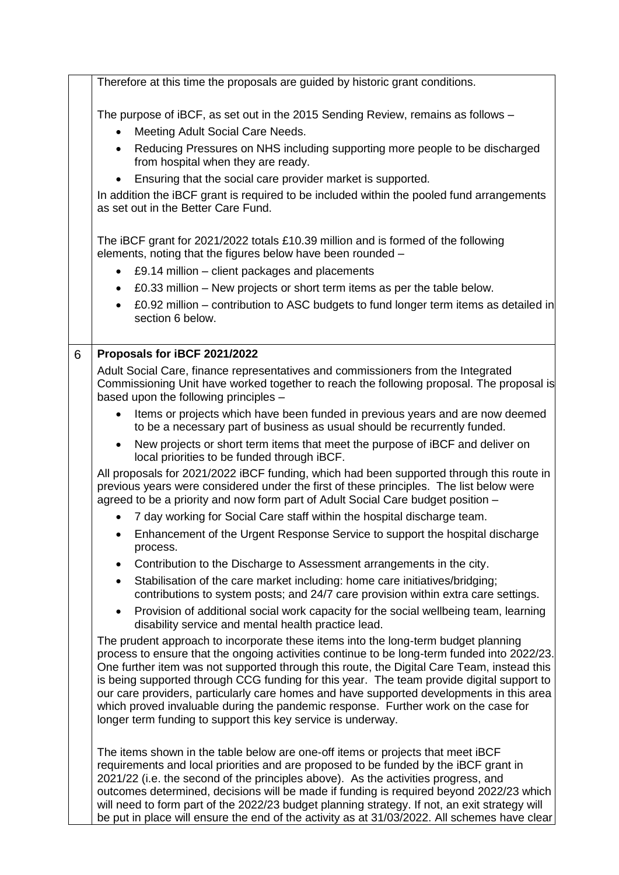|   | Therefore at this time the proposals are guided by historic grant conditions.                                                                                                                                                                                                                                                                                                                                                                                                                                                                                                                                                  |
|---|--------------------------------------------------------------------------------------------------------------------------------------------------------------------------------------------------------------------------------------------------------------------------------------------------------------------------------------------------------------------------------------------------------------------------------------------------------------------------------------------------------------------------------------------------------------------------------------------------------------------------------|
|   | The purpose of iBCF, as set out in the 2015 Sending Review, remains as follows -<br>Meeting Adult Social Care Needs.                                                                                                                                                                                                                                                                                                                                                                                                                                                                                                           |
|   | Reducing Pressures on NHS including supporting more people to be discharged<br>$\bullet$<br>from hospital when they are ready.                                                                                                                                                                                                                                                                                                                                                                                                                                                                                                 |
|   | Ensuring that the social care provider market is supported.                                                                                                                                                                                                                                                                                                                                                                                                                                                                                                                                                                    |
|   | In addition the iBCF grant is required to be included within the pooled fund arrangements<br>as set out in the Better Care Fund.                                                                                                                                                                                                                                                                                                                                                                                                                                                                                               |
|   | The iBCF grant for 2021/2022 totals £10.39 million and is formed of the following<br>elements, noting that the figures below have been rounded -                                                                                                                                                                                                                                                                                                                                                                                                                                                                               |
|   | £9.14 million – client packages and placements                                                                                                                                                                                                                                                                                                                                                                                                                                                                                                                                                                                 |
|   | £0.33 million – New projects or short term items as per the table below.<br>$\bullet$                                                                                                                                                                                                                                                                                                                                                                                                                                                                                                                                          |
|   | £0.92 million – contribution to ASC budgets to fund longer term items as detailed in<br>section 6 below.                                                                                                                                                                                                                                                                                                                                                                                                                                                                                                                       |
| 6 | Proposals for iBCF 2021/2022                                                                                                                                                                                                                                                                                                                                                                                                                                                                                                                                                                                                   |
|   | Adult Social Care, finance representatives and commissioners from the Integrated<br>Commissioning Unit have worked together to reach the following proposal. The proposal is<br>based upon the following principles -                                                                                                                                                                                                                                                                                                                                                                                                          |
|   | Items or projects which have been funded in previous years and are now deemed<br>to be a necessary part of business as usual should be recurrently funded.                                                                                                                                                                                                                                                                                                                                                                                                                                                                     |
|   | New projects or short term items that meet the purpose of iBCF and deliver on<br>$\bullet$<br>local priorities to be funded through iBCF.                                                                                                                                                                                                                                                                                                                                                                                                                                                                                      |
|   | All proposals for 2021/2022 iBCF funding, which had been supported through this route in<br>previous years were considered under the first of these principles. The list below were<br>agreed to be a priority and now form part of Adult Social Care budget position -                                                                                                                                                                                                                                                                                                                                                        |
|   | 7 day working for Social Care staff within the hospital discharge team.                                                                                                                                                                                                                                                                                                                                                                                                                                                                                                                                                        |
|   | Enhancement of the Urgent Response Service to support the hospital discharge<br>process.                                                                                                                                                                                                                                                                                                                                                                                                                                                                                                                                       |
|   | Contribution to the Discharge to Assessment arrangements in the city.                                                                                                                                                                                                                                                                                                                                                                                                                                                                                                                                                          |
|   | Stabilisation of the care market including: home care initiatives/bridging;<br>٠<br>contributions to system posts; and 24/7 care provision within extra care settings.                                                                                                                                                                                                                                                                                                                                                                                                                                                         |
|   | Provision of additional social work capacity for the social wellbeing team, learning<br>$\bullet$<br>disability service and mental health practice lead.                                                                                                                                                                                                                                                                                                                                                                                                                                                                       |
|   | The prudent approach to incorporate these items into the long-term budget planning<br>process to ensure that the ongoing activities continue to be long-term funded into 2022/23.<br>One further item was not supported through this route, the Digital Care Team, instead this<br>is being supported through CCG funding for this year. The team provide digital support to<br>our care providers, particularly care homes and have supported developments in this area<br>which proved invaluable during the pandemic response. Further work on the case for<br>longer term funding to support this key service is underway. |
|   | The items shown in the table below are one-off items or projects that meet iBCF<br>requirements and local priorities and are proposed to be funded by the iBCF grant in<br>2021/22 (i.e. the second of the principles above). As the activities progress, and<br>outcomes determined, decisions will be made if funding is required beyond 2022/23 which<br>will need to form part of the 2022/23 budget planning strategy. If not, an exit strategy will<br>be put in place will ensure the end of the activity as at 31/03/2022. All schemes have clear                                                                      |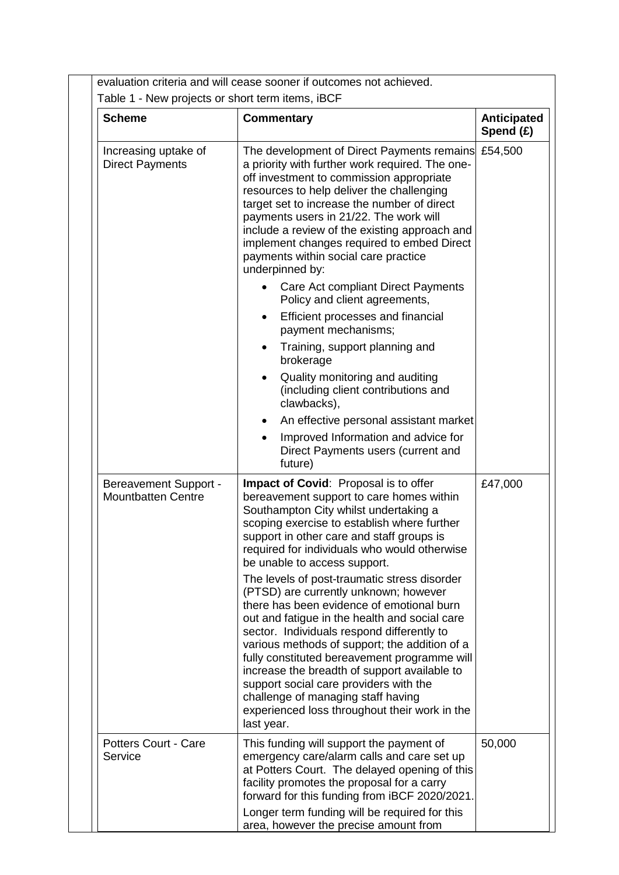|                                                           | Table 1 - New projects or short term items, iBCF                                                                                                                                                                                                                                                                                                                                                                                                                                                                                                                                                                                                                                                                     |                          |
|-----------------------------------------------------------|----------------------------------------------------------------------------------------------------------------------------------------------------------------------------------------------------------------------------------------------------------------------------------------------------------------------------------------------------------------------------------------------------------------------------------------------------------------------------------------------------------------------------------------------------------------------------------------------------------------------------------------------------------------------------------------------------------------------|--------------------------|
| <b>Scheme</b>                                             | <b>Commentary</b>                                                                                                                                                                                                                                                                                                                                                                                                                                                                                                                                                                                                                                                                                                    | Anticipated<br>Spend (£) |
| Increasing uptake of<br><b>Direct Payments</b>            | The development of Direct Payments remains<br>a priority with further work required. The one-<br>off investment to commission appropriate<br>resources to help deliver the challenging<br>target set to increase the number of direct<br>payments users in 21/22. The work will<br>include a review of the existing approach and<br>implement changes required to embed Direct<br>payments within social care practice<br>underpinned by:<br>Care Act compliant Direct Payments<br>Policy and client agreements,<br>Efficient processes and financial<br>payment mechanisms;<br>Training, support planning and<br>brokerage<br>Quality monitoring and auditing<br>(including client contributions and<br>clawbacks), | £54,500                  |
|                                                           | An effective personal assistant market<br>$\bullet$<br>Improved Information and advice for<br>$\bullet$<br>Direct Payments users (current and<br>future)                                                                                                                                                                                                                                                                                                                                                                                                                                                                                                                                                             |                          |
| <b>Bereavement Support -</b><br><b>Mountbatten Centre</b> | Impact of Covid: Proposal is to offer<br>bereavement support to care homes within<br>Southampton City whilst undertaking a<br>scoping exercise to establish where further<br>support in other care and staff groups is<br>required for individuals who would otherwise<br>be unable to access support.<br>The levels of post-traumatic stress disorder<br>(PTSD) are currently unknown; however<br>there has been evidence of emotional burn<br>out and fatigue in the health and social care<br>sector. Individuals respond differently to                                                                                                                                                                          | £47,000                  |
|                                                           | various methods of support; the addition of a<br>fully constituted bereavement programme will<br>increase the breadth of support available to<br>support social care providers with the<br>challenge of managing staff having<br>experienced loss throughout their work in the<br>last year.                                                                                                                                                                                                                                                                                                                                                                                                                         |                          |
| <b>Potters Court - Care</b><br>Service                    | This funding will support the payment of<br>emergency care/alarm calls and care set up<br>at Potters Court. The delayed opening of this<br>facility promotes the proposal for a carry<br>forward for this funding from iBCF 2020/2021.<br>Longer term funding will be required for this                                                                                                                                                                                                                                                                                                                                                                                                                              | 50,000                   |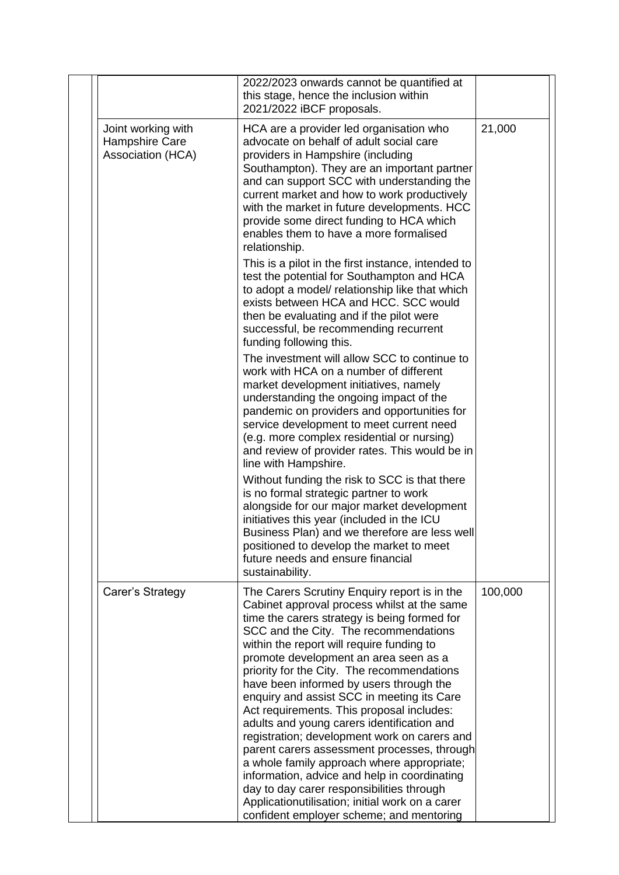|                                                           | 2022/2023 onwards cannot be quantified at<br>this stage, hence the inclusion within<br>2021/2022 iBCF proposals.                                                                                                                                                                                                                                                                                                                                                                                                                                                                                                                                                                                                                                                                                                                                      |         |
|-----------------------------------------------------------|-------------------------------------------------------------------------------------------------------------------------------------------------------------------------------------------------------------------------------------------------------------------------------------------------------------------------------------------------------------------------------------------------------------------------------------------------------------------------------------------------------------------------------------------------------------------------------------------------------------------------------------------------------------------------------------------------------------------------------------------------------------------------------------------------------------------------------------------------------|---------|
| Joint working with<br>Hampshire Care<br>Association (HCA) | HCA are a provider led organisation who<br>advocate on behalf of adult social care<br>providers in Hampshire (including<br>Southampton). They are an important partner<br>and can support SCC with understanding the<br>current market and how to work productively<br>with the market in future developments. HCC<br>provide some direct funding to HCA which<br>enables them to have a more formalised<br>relationship.<br>This is a pilot in the first instance, intended to<br>test the potential for Southampton and HCA<br>to adopt a model/ relationship like that which<br>exists between HCA and HCC. SCC would<br>then be evaluating and if the pilot were<br>successful, be recommending recurrent<br>funding following this.<br>The investment will allow SCC to continue to                                                              | 21,000  |
|                                                           | work with HCA on a number of different<br>market development initiatives, namely<br>understanding the ongoing impact of the<br>pandemic on providers and opportunities for<br>service development to meet current need<br>(e.g. more complex residential or nursing)<br>and review of provider rates. This would be in<br>line with Hampshire.                                                                                                                                                                                                                                                                                                                                                                                                                                                                                                        |         |
|                                                           | Without funding the risk to SCC is that there<br>is no formal strategic partner to work<br>alongside for our major market development<br>initiatives this year (included in the ICU<br>Business Plan) and we therefore are less well<br>positioned to develop the market to meet<br>future needs and ensure financial<br>sustainability.                                                                                                                                                                                                                                                                                                                                                                                                                                                                                                              |         |
| Carer's Strategy                                          | The Carers Scrutiny Enquiry report is in the<br>Cabinet approval process whilst at the same<br>time the carers strategy is being formed for<br>SCC and the City. The recommendations<br>within the report will require funding to<br>promote development an area seen as a<br>priority for the City. The recommendations<br>have been informed by users through the<br>enquiry and assist SCC in meeting its Care<br>Act requirements. This proposal includes:<br>adults and young carers identification and<br>registration; development work on carers and<br>parent carers assessment processes, through<br>a whole family approach where appropriate;<br>information, advice and help in coordinating<br>day to day carer responsibilities through<br>Applicationutilisation; initial work on a carer<br>confident employer scheme; and mentoring | 100,000 |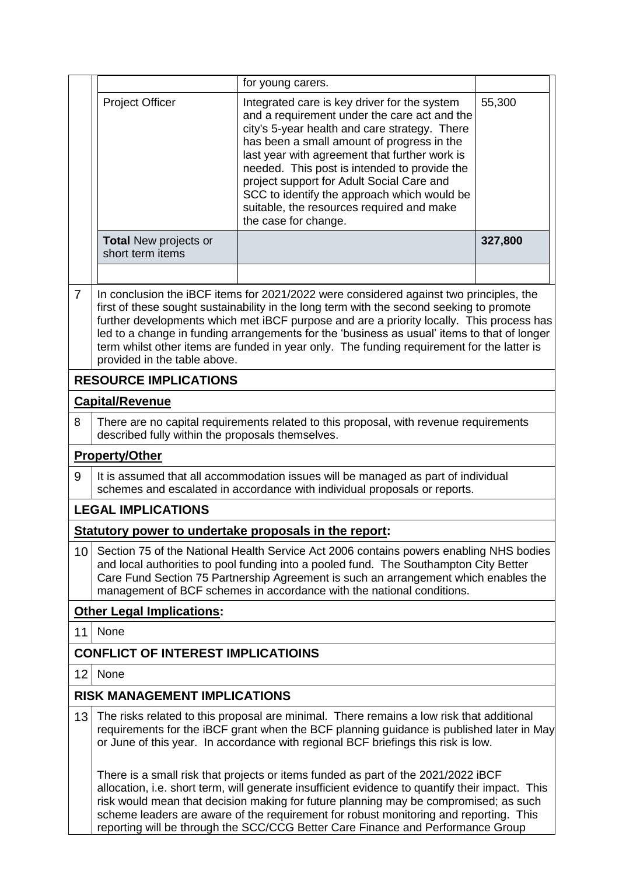|                                                       |                                                                                                                                                                                                                                                                                                                                                                                                                                                                                                             | for young carers.                                                                                                                                                                                                                                                                                                                                                                                                                                             |         |  |  |  |
|-------------------------------------------------------|-------------------------------------------------------------------------------------------------------------------------------------------------------------------------------------------------------------------------------------------------------------------------------------------------------------------------------------------------------------------------------------------------------------------------------------------------------------------------------------------------------------|---------------------------------------------------------------------------------------------------------------------------------------------------------------------------------------------------------------------------------------------------------------------------------------------------------------------------------------------------------------------------------------------------------------------------------------------------------------|---------|--|--|--|
|                                                       | <b>Project Officer</b>                                                                                                                                                                                                                                                                                                                                                                                                                                                                                      | Integrated care is key driver for the system<br>and a requirement under the care act and the<br>city's 5-year health and care strategy. There<br>has been a small amount of progress in the<br>last year with agreement that further work is<br>needed. This post is intended to provide the<br>project support for Adult Social Care and<br>SCC to identify the approach which would be<br>suitable, the resources required and make<br>the case for change. | 55,300  |  |  |  |
|                                                       | <b>Total New projects or</b><br>short term items                                                                                                                                                                                                                                                                                                                                                                                                                                                            |                                                                                                                                                                                                                                                                                                                                                                                                                                                               | 327,800 |  |  |  |
| $\overline{7}$                                        | In conclusion the iBCF items for 2021/2022 were considered against two principles, the<br>first of these sought sustainability in the long term with the second seeking to promote<br>further developments which met iBCF purpose and are a priority locally. This process has<br>led to a change in funding arrangements for the 'business as usual' items to that of longer<br>term whilst other items are funded in year only. The funding requirement for the latter is<br>provided in the table above. |                                                                                                                                                                                                                                                                                                                                                                                                                                                               |         |  |  |  |
|                                                       | <b>RESOURCE IMPLICATIONS</b>                                                                                                                                                                                                                                                                                                                                                                                                                                                                                |                                                                                                                                                                                                                                                                                                                                                                                                                                                               |         |  |  |  |
|                                                       | <b>Capital/Revenue</b>                                                                                                                                                                                                                                                                                                                                                                                                                                                                                      |                                                                                                                                                                                                                                                                                                                                                                                                                                                               |         |  |  |  |
| 8                                                     | described fully within the proposals themselves.                                                                                                                                                                                                                                                                                                                                                                                                                                                            | There are no capital requirements related to this proposal, with revenue requirements                                                                                                                                                                                                                                                                                                                                                                         |         |  |  |  |
|                                                       | <b>Property/Other</b>                                                                                                                                                                                                                                                                                                                                                                                                                                                                                       |                                                                                                                                                                                                                                                                                                                                                                                                                                                               |         |  |  |  |
| 9                                                     | It is assumed that all accommodation issues will be managed as part of individual<br>schemes and escalated in accordance with individual proposals or reports.                                                                                                                                                                                                                                                                                                                                              |                                                                                                                                                                                                                                                                                                                                                                                                                                                               |         |  |  |  |
| <b>LEGAL IMPLICATIONS</b>                             |                                                                                                                                                                                                                                                                                                                                                                                                                                                                                                             |                                                                                                                                                                                                                                                                                                                                                                                                                                                               |         |  |  |  |
| Statutory power to undertake proposals in the report: |                                                                                                                                                                                                                                                                                                                                                                                                                                                                                                             |                                                                                                                                                                                                                                                                                                                                                                                                                                                               |         |  |  |  |
| 10                                                    | Section 75 of the National Health Service Act 2006 contains powers enabling NHS bodies<br>and local authorities to pool funding into a pooled fund. The Southampton City Better<br>Care Fund Section 75 Partnership Agreement is such an arrangement which enables the<br>management of BCF schemes in accordance with the national conditions.                                                                                                                                                             |                                                                                                                                                                                                                                                                                                                                                                                                                                                               |         |  |  |  |
|                                                       | <b>Other Legal Implications:</b>                                                                                                                                                                                                                                                                                                                                                                                                                                                                            |                                                                                                                                                                                                                                                                                                                                                                                                                                                               |         |  |  |  |
| 11                                                    | None                                                                                                                                                                                                                                                                                                                                                                                                                                                                                                        |                                                                                                                                                                                                                                                                                                                                                                                                                                                               |         |  |  |  |
|                                                       | <b>CONFLICT OF INTEREST IMPLICATIOINS</b>                                                                                                                                                                                                                                                                                                                                                                                                                                                                   |                                                                                                                                                                                                                                                                                                                                                                                                                                                               |         |  |  |  |
| 12<br>None                                            |                                                                                                                                                                                                                                                                                                                                                                                                                                                                                                             |                                                                                                                                                                                                                                                                                                                                                                                                                                                               |         |  |  |  |
| <b>RISK MANAGEMENT IMPLICATIONS</b>                   |                                                                                                                                                                                                                                                                                                                                                                                                                                                                                                             |                                                                                                                                                                                                                                                                                                                                                                                                                                                               |         |  |  |  |
| 13                                                    | The risks related to this proposal are minimal. There remains a low risk that additional<br>requirements for the iBCF grant when the BCF planning guidance is published later in May<br>or June of this year. In accordance with regional BCF briefings this risk is low.                                                                                                                                                                                                                                   |                                                                                                                                                                                                                                                                                                                                                                                                                                                               |         |  |  |  |
|                                                       | There is a small risk that projects or items funded as part of the 2021/2022 iBCF<br>allocation, i.e. short term, will generate insufficient evidence to quantify their impact. This<br>risk would mean that decision making for future planning may be compromised; as such<br>scheme leaders are aware of the requirement for robust monitoring and reporting. This<br>reporting will be through the SCC/CCG Better Care Finance and Performance Group                                                    |                                                                                                                                                                                                                                                                                                                                                                                                                                                               |         |  |  |  |